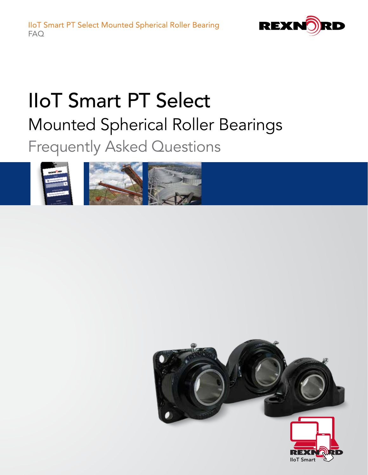

# IIoT Smart PT Select Mounted Spherical Roller Bearings Frequently Asked Questions



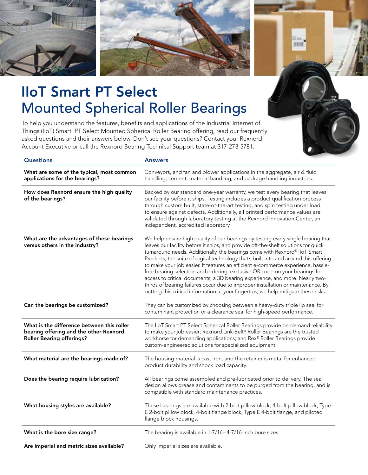

## IIoT Smart PT Select Mounted Spherical Roller Bearings

To help you understand the features, benefits and applications of the Industrial Internet of Things (IIoT) Smart PT Select Mounted Spherical Roller Bearing offering, read our frequently asked questions and their answers below. Don't see your questions? Contact your Rexnord Account Executive or call the Rexnord Bearing Technical Support team at 317-273-5781.

| <b>Questions</b>                                                                                                         | <b>Answers</b>                                                                                                                                                                                                                                                                                                                                                                                                                                                                                                                                                                                                                                                                                                                                                             |
|--------------------------------------------------------------------------------------------------------------------------|----------------------------------------------------------------------------------------------------------------------------------------------------------------------------------------------------------------------------------------------------------------------------------------------------------------------------------------------------------------------------------------------------------------------------------------------------------------------------------------------------------------------------------------------------------------------------------------------------------------------------------------------------------------------------------------------------------------------------------------------------------------------------|
| What are some of the typical, most common<br>applications for the bearings?                                              | Conveyors, and fan and blower applications in the aggregate, air & fluid<br>handling, cement, material handling, and package handling industries.                                                                                                                                                                                                                                                                                                                                                                                                                                                                                                                                                                                                                          |
| How does Rexnord ensure the high quality<br>of the bearings?                                                             | Backed by our standard one-year warranty, we test every bearing that leaves<br>our facility before it ships. Testing includes a product qualification process<br>through custom built, state-of-the-art testing, and spin testing under load<br>to ensure against defects. Additionally, all printed performance values are<br>validated through laboratory testing at the Rexnord Innovation Center, an<br>independent, accredited laboratory.                                                                                                                                                                                                                                                                                                                            |
| What are the advantages of these bearings<br>versus others in the industry?                                              | We help ensure high quality of our bearings by testing every single bearing that<br>leaves our facility before it ships, and provide off-the-shelf solutions for quick<br>turnaround needs. Additionally, the bearings come with Rexnord® IIoT Smart<br>Products, the suite of digital technology that's built into and around this offering<br>to make your job easier. It features an efficient e-commerce experience, hassle-<br>free bearing selection and ordering, exclusive QR code on your bearings for<br>access to critical documents, a 3D bearing experience, and more. Nearly two-<br>thirds of bearing failures occur due to improper installation or maintenance. By<br>putting this critical information at your fingertips, we help mitigate these risks. |
| Can the bearings be customized?                                                                                          | They can be customized by choosing between a heavy-duty triple lip seal for<br>contaminant protection or a clearance seal for high-speed performance.                                                                                                                                                                                                                                                                                                                                                                                                                                                                                                                                                                                                                      |
| What is the difference between this roller<br>bearing offering and the other Rexnord<br><b>Roller Bearing offerings?</b> | The IIoT Smart PT Select Spherical Roller Bearings provide on-demand reliability<br>to make your job easier; Rexnord Link-Belt® Roller Bearings are the trusted<br>workhorse for demanding applications; and Rex® Roller Bearings provide<br>custom-engineered solutions for specialized equipment.                                                                                                                                                                                                                                                                                                                                                                                                                                                                        |
| What material are the bearings made of?                                                                                  | The housing material is cast iron, and the retainer is metal for enhanced<br>product durability and shock load capacity.                                                                                                                                                                                                                                                                                                                                                                                                                                                                                                                                                                                                                                                   |
| Does the bearing require lubrication?                                                                                    | All bearings come assembled and pre-lubricated prior to delivery. The seal<br>design allows grease and contaminants to be purged from the bearing, and is<br>compatible with standard maintenance practices.                                                                                                                                                                                                                                                                                                                                                                                                                                                                                                                                                               |
| What housing styles are available?                                                                                       | These bearings are available with 2-bolt pillow block, 4-bolt pillow block, Type<br>E 2-bolt pillow block, 4-bolt flange block, Type E 4-bolt flange, and piloted<br>flange block housings.                                                                                                                                                                                                                                                                                                                                                                                                                                                                                                                                                                                |
| What is the bore size range?                                                                                             | The bearing is available in 1-7/16-4-7/16-inch bore sizes.                                                                                                                                                                                                                                                                                                                                                                                                                                                                                                                                                                                                                                                                                                                 |
| Are imperial and metric sizes available?                                                                                 | Only imperial sizes are available.                                                                                                                                                                                                                                                                                                                                                                                                                                                                                                                                                                                                                                                                                                                                         |

田田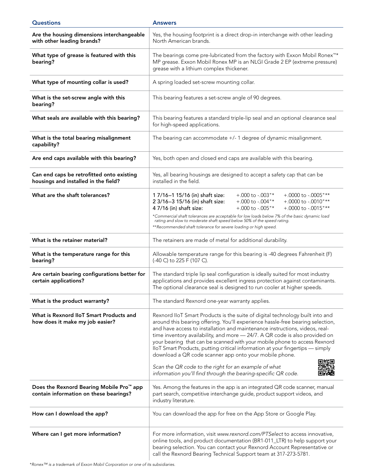| <b>Questions</b>                                                                   | <b>Answers</b>                                                                                                                                                                                                                                                                                                                                                                                                                                                                                                                                                                                                                                                                 |
|------------------------------------------------------------------------------------|--------------------------------------------------------------------------------------------------------------------------------------------------------------------------------------------------------------------------------------------------------------------------------------------------------------------------------------------------------------------------------------------------------------------------------------------------------------------------------------------------------------------------------------------------------------------------------------------------------------------------------------------------------------------------------|
| Are the housing dimensions interchangeable<br>with other leading brands?           | Yes, the housing footprint is a direct drop-in interchange with other leading<br>North American brands.                                                                                                                                                                                                                                                                                                                                                                                                                                                                                                                                                                        |
| What type of grease is featured with this<br>bearing?                              | The bearings come pre-lubricated from the factory with Exxon Mobil Ronex <sup>™*</sup><br>MP grease. Exxon Mobil Ronex MP is an NLGI Grade 2 EP (extreme pressure)<br>grease with a lithium complex thickener.                                                                                                                                                                                                                                                                                                                                                                                                                                                                 |
| What type of mounting collar is used?                                              | A spring loaded set-screw mounting collar.                                                                                                                                                                                                                                                                                                                                                                                                                                                                                                                                                                                                                                     |
| What is the set-screw angle with this<br>bearing?                                  | This bearing features a set-screw angle of 90 degrees.                                                                                                                                                                                                                                                                                                                                                                                                                                                                                                                                                                                                                         |
| What seals are available with this bearing?                                        | This bearing features a standard triple-lip seal and an optional clearance seal<br>for high-speed applications.                                                                                                                                                                                                                                                                                                                                                                                                                                                                                                                                                                |
| What is the total bearing misalignment<br>capability?                              | The bearing can accommodate +/- 1 degree of dynamic misalignment.                                                                                                                                                                                                                                                                                                                                                                                                                                                                                                                                                                                                              |
| Are end caps available with this bearing?                                          | Yes, both open and closed end caps are available with this bearing.                                                                                                                                                                                                                                                                                                                                                                                                                                                                                                                                                                                                            |
| Can end caps be retrofitted onto existing<br>housings and installed in the field?  | Yes, all bearing housings are designed to accept a safety cap that can be<br>installed in the field.                                                                                                                                                                                                                                                                                                                                                                                                                                                                                                                                                                           |
| What are the shaft tolerances?                                                     | $+.000$ to $-.003"$ *<br>+.0000 to -.0005"**<br>1 7/16-1 15/16 (in) shaft size:<br>2 3/16-3 15/16 (in) shaft size:<br>$+.000$ to $-.004"$ *<br>+.0000 to -.0010"**<br>$+.000$ to $-.005"$ *<br>+.0000 to -.0015"**<br>4 7/16 (in) shaft size:<br>*Commercial shaft tolerances are acceptable for low loads below 7% of the basic dynamic load<br>rating and slow to moderate shaft speed below 50% of the speed rating.<br>**Recommended shaft tolerance for severe loading or high speed.                                                                                                                                                                                     |
| What is the retainer material?                                                     | The retainers are made of metal for additional durability.                                                                                                                                                                                                                                                                                                                                                                                                                                                                                                                                                                                                                     |
| What is the temperature range for this<br>bearing?                                 | Allowable temperature range for this bearing is -40 degrees Fahrenheit (F)<br>(-40 C) to 225 F (107 C).                                                                                                                                                                                                                                                                                                                                                                                                                                                                                                                                                                        |
| Are certain bearing configurations better for<br>certain applications?             | The standard triple lip seal configuration is ideally suited for most industry<br>applications and provides excellent ingress protection against contaminants.<br>The optional clearance seal is designed to run cooler at higher speeds.                                                                                                                                                                                                                                                                                                                                                                                                                                      |
| What is the product warranty?                                                      | The standard Rexnord one-year warranty applies.                                                                                                                                                                                                                                                                                                                                                                                                                                                                                                                                                                                                                                |
| What is Rexnord IIoT Smart Products and<br>how does it make my job easier?         | Rexnord IIoT Smart Products is the suite of digital technology built into and<br>around this bearing offering. You'll experience hassle-free bearing selection,<br>and have access to installation and maintenance instructions, videos, real-<br>time inventory availability, and more - 24/7. A QR code is also provided on<br>your bearing that can be scanned with your mobile phone to access Rexnord<br>IloT Smart Products, putting critical information at your fingertips - simply<br>download a QR code scanner app onto your mobile phone.<br>Scan the QR code to the right for an example of what<br>information you'll find through the bearing-specific QR code. |
| Does the Rexnord Bearing Mobile Pro™ app<br>contain information on these bearings? | Yes. Among the features in the app is an integrated QR code scanner, manual<br>part search, competitive interchange guide, product support videos, and<br>industry literature.                                                                                                                                                                                                                                                                                                                                                                                                                                                                                                 |
| How can I download the app?                                                        | You can download the app for free on the App Store or Google Play.                                                                                                                                                                                                                                                                                                                                                                                                                                                                                                                                                                                                             |
| Where can I get more information?                                                  | For more information, visit www.rexnord.com/PTSelect to access innovative,<br>online tools, and product documentation (BR1-011_LTR) to help support your<br>bearing selection. You can contact your Rexnord Account Representative or<br>call the Rexnord Bearing Technical Support team at 317-273-5781.                                                                                                                                                                                                                                                                                                                                                                      |